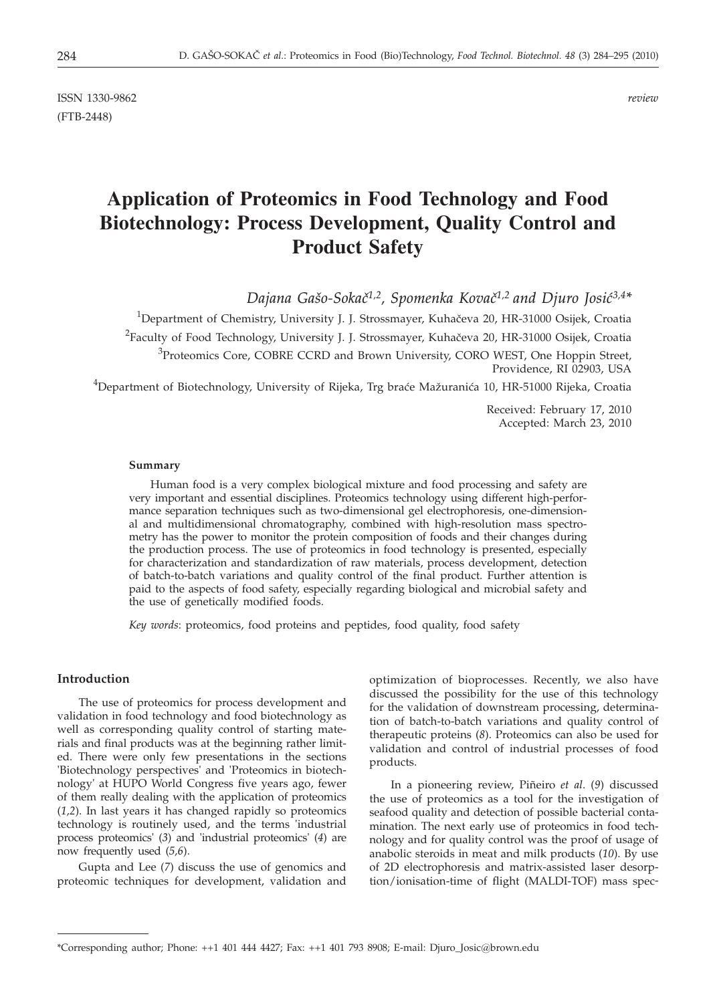ISSN 1330-9862 *review* (FTB-2448)

# **Application of Proteomics in Food Technology and Food Biotechnology: Process Development, Quality Control and Product Safety**

*Dajana Gašo-Sokač<sup>1,2</sup>, Spomenka Kovač<sup>1,2</sup> and Djuro Josić<sup>3,4\*</sup>* 

<sup>1</sup>Department of Chemistry, University J. J. Strossmayer, Kuhačeva 20, HR-31000 Osijek, Croatia  $^2$ Faculty of Food Technology, University J. J. Strossmayer, Kuhačeva 20, HR-31000 Osijek, Croatia <sup>3</sup>Proteomics Core, COBRE CCRD and Brown University, CORO WEST, One Hoppin Street, Providence, RI 02903, USA

 $^4$ Department of Biotechnology, University of Rijeka, Trg braće Mažuranića 10, HR-51000 Rijeka, Croatia

Received: February 17, 2010 Accepted: March 23, 2010

#### **Summary**

Human food is a very complex biological mixture and food processing and safety are very important and essential disciplines. Proteomics technology using different high-performance separation techniques such as two-dimensional gel electrophoresis, one-dimensional and multidimensional chromatography, combined with high-resolution mass spectrometry has the power to monitor the protein composition of foods and their changes during the production process. The use of proteomics in food technology is presented, especially for characterization and standardization of raw materials, process development, detection of batch-to-batch variations and quality control of the final product. Further attention is paid to the aspects of food safety, especially regarding biological and microbial safety and the use of genetically modified foods.

*Key words*: proteomics, food proteins and peptides, food quality, food safety

# **Introduction**

The use of proteomics for process development and validation in food technology and food biotechnology as well as corresponding quality control of starting materials and final products was at the beginning rather limited. There were only few presentations in the sections 'Biotechnology perspectives' and 'Proteomics in biotechnology' at HUPO World Congress five years ago, fewer of them really dealing with the application of proteomics (*1,2*). In last years it has changed rapidly so proteomics technology is routinely used, and the terms 'industrial process proteomics' (*3*) and 'industrial proteomics' (*4*) are now frequently used (*5,6*).

Gupta and Lee (*7*) discuss the use of genomics and proteomic techniques for development, validation and optimization of bioprocesses. Recently, we also have discussed the possibility for the use of this technology for the validation of downstream processing, determination of batch-to-batch variations and quality control of therapeutic proteins (*8*). Proteomics can also be used for validation and control of industrial processes of food products.

In a pioneering review, Piñeiro *et al*. (*9*) discussed the use of proteomics as a tool for the investigation of seafood quality and detection of possible bacterial contamination. The next early use of proteomics in food technology and for quality control was the proof of usage of anabolic steroids in meat and milk products (*10*). By use of 2D electrophoresis and matrix-assisted laser desorption/ionisation-time of flight (MALDI-TOF) mass spec-

<sup>\*</sup>Corresponding author; Phone: ++1 401 444 4427; Fax: ++1 401 793 8908; E-mail: Djuro\_Josic@brown.edu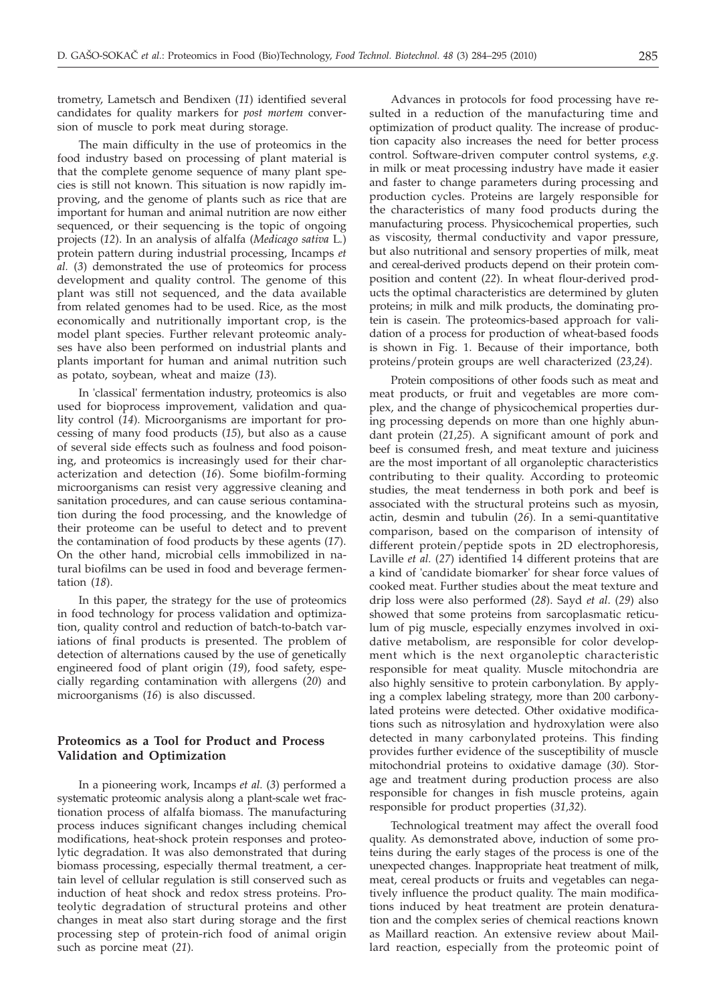trometry, Lametsch and Bendixen (*11*) identified several candidates for quality markers for *post mortem* conversion of muscle to pork meat during storage.

The main difficulty in the use of proteomics in the food industry based on processing of plant material is that the complete genome sequence of many plant species is still not known. This situation is now rapidly improving, and the genome of plants such as rice that are important for human and animal nutrition are now either sequenced, or their sequencing is the topic of ongoing projects (*12*). In an analysis of alfalfa (*Medicago sativa* L*.*) protein pattern during industrial processing, Incamps *et al.* (*3*) demonstrated the use of proteomics for process development and quality control. The genome of this plant was still not sequenced, and the data available from related genomes had to be used. Rice, as the most economically and nutritionally important crop, is the model plant species. Further relevant proteomic analyses have also been performed on industrial plants and plants important for human and animal nutrition such as potato, soybean, wheat and maize (*13*).

In 'classical' fermentation industry, proteomics is also used for bioprocess improvement, validation and quality control (*14*). Microorganisms are important for processing of many food products (*15*), but also as a cause of several side effects such as foulness and food poisoning, and proteomics is increasingly used for their characterization and detection (*16*). Some biofilm-forming microorganisms can resist very aggressive cleaning and sanitation procedures, and can cause serious contamination during the food processing, and the knowledge of their proteome can be useful to detect and to prevent the contamination of food products by these agents (*17*). On the other hand, microbial cells immobilized in natural biofilms can be used in food and beverage fermentation (*18*).

In this paper, the strategy for the use of proteomics in food technology for process validation and optimization, quality control and reduction of batch-to-batch variations of final products is presented. The problem of detection of alternations caused by the use of genetically engineered food of plant origin (*19*), food safety, especially regarding contamination with allergens (*20*) and microorganisms (*16*) is also discussed.

# **Proteomics as a Tool for Product and Process Validation and Optimization**

In a pioneering work, Incamps *et al.* (*3*) performed a systematic proteomic analysis along a plant-scale wet fractionation process of alfalfa biomass. The manufacturing process induces significant changes including chemical modifications, heat-shock protein responses and proteolytic degradation. It was also demonstrated that during biomass processing, especially thermal treatment, a certain level of cellular regulation is still conserved such as induction of heat shock and redox stress proteins. Proteolytic degradation of structural proteins and other changes in meat also start during storage and the first processing step of protein-rich food of animal origin such as porcine meat (*21*).

Advances in protocols for food processing have resulted in a reduction of the manufacturing time and optimization of product quality. The increase of production capacity also increases the need for better process control. Software-driven computer control systems, *e.g*. in milk or meat processing industry have made it easier and faster to change parameters during processing and production cycles. Proteins are largely responsible for the characteristics of many food products during the manufacturing process. Physicochemical properties, such as viscosity, thermal conductivity and vapor pressure, but also nutritional and sensory properties of milk, meat and cereal-derived products depend on their protein composition and content (*22*). In wheat flour-derived products the optimal characteristics are determined by gluten proteins; in milk and milk products, the dominating protein is casein. The proteomics-based approach for validation of a process for production of wheat-based foods is shown in Fig. 1. Because of their importance, both proteins/protein groups are well characterized (*23,24*).

Protein compositions of other foods such as meat and meat products, or fruit and vegetables are more complex, and the change of physicochemical properties during processing depends on more than one highly abundant protein (*21,25*). A significant amount of pork and beef is consumed fresh, and meat texture and juiciness are the most important of all organoleptic characteristics contributing to their quality. According to proteomic studies, the meat tenderness in both pork and beef is associated with the structural proteins such as myosin, actin, desmin and tubulin (*26*). In a semi-quantitative comparison, based on the comparison of intensity of different protein/peptide spots in 2D electrophoresis, Laville *et al.* (*27*) identified 14 different proteins that are a kind of 'candidate biomarker' for shear force values of cooked meat. Further studies about the meat texture and drip loss were also performed (*28*). Sayd *et al*. (*29*) also showed that some proteins from sarcoplasmatic reticulum of pig muscle, especially enzymes involved in oxidative metabolism, are responsible for color development which is the next organoleptic characteristic responsible for meat quality. Muscle mitochondria are also highly sensitive to protein carbonylation. By applying a complex labeling strategy, more than 200 carbonylated proteins were detected. Other oxidative modifications such as nitrosylation and hydroxylation were also detected in many carbonylated proteins. This finding provides further evidence of the susceptibility of muscle mitochondrial proteins to oxidative damage (*30*). Storage and treatment during production process are also responsible for changes in fish muscle proteins, again responsible for product properties (*31,32*).

Technological treatment may affect the overall food quality. As demonstrated above, induction of some proteins during the early stages of the process is one of the unexpected changes. Inappropriate heat treatment of milk, meat, cereal products or fruits and vegetables can negatively influence the product quality. The main modifications induced by heat treatment are protein denaturation and the complex series of chemical reactions known as Maillard reaction. An extensive review about Maillard reaction, especially from the proteomic point of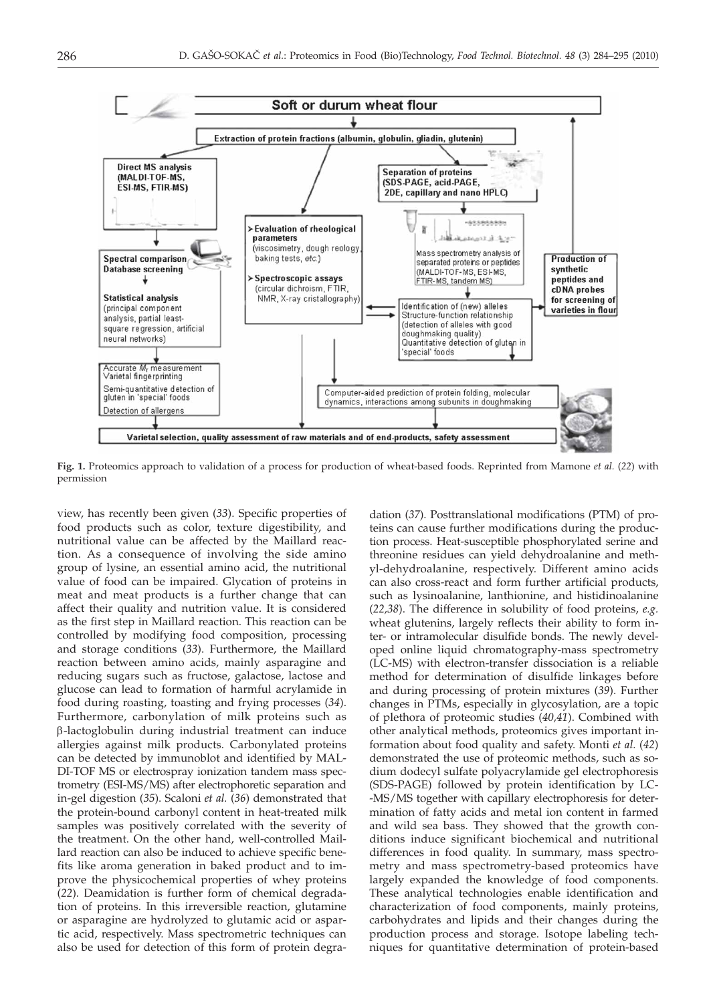

**Fig. 1.** Proteomics approach to validation of a process for production of wheat-based foods. Reprinted from Mamone *et al.* (*22*) with permission

view, has recently been given (*33*). Specific properties of food products such as color, texture digestibility, and nutritional value can be affected by the Maillard reaction. As a consequence of involving the side amino group of lysine, an essential amino acid, the nutritional value of food can be impaired. Glycation of proteins in meat and meat products is a further change that can affect their quality and nutrition value. It is considered as the first step in Maillard reaction. This reaction can be controlled by modifying food composition, processing and storage conditions (*33*). Furthermore, the Maillard reaction between amino acids, mainly asparagine and reducing sugars such as fructose, galactose, lactose and glucose can lead to formation of harmful acrylamide in food during roasting, toasting and frying processes (*34*). Furthermore, carbonylation of milk proteins such as b-lactoglobulin during industrial treatment can induce allergies against milk products. Carbonylated proteins can be detected by immunoblot and identified by MAL-DI-TOF MS or electrospray ionization tandem mass spectrometry (ESI-MS/MS) after electrophoretic separation and in-gel digestion (*35*). Scaloni *et al.* (*36*) demonstrated that the protein-bound carbonyl content in heat-treated milk samples was positively correlated with the severity of the treatment. On the other hand, well-controlled Maillard reaction can also be induced to achieve specific benefits like aroma generation in baked product and to improve the physicochemical properties of whey proteins (*22*). Deamidation is further form of chemical degradation of proteins. In this irreversible reaction, glutamine or asparagine are hydrolyzed to glutamic acid or aspartic acid, respectively. Mass spectrometric techniques can also be used for detection of this form of protein degra-

dation (*37*). Posttranslational modifications (PTM) of proteins can cause further modifications during the production process. Heat-susceptible phosphorylated serine and threonine residues can yield dehydroalanine and methyl-dehydroalanine, respectively. Different amino acids can also cross-react and form further artificial products, such as lysinoalanine, lanthionine, and histidinoalanine (*22,38*). The difference in solubility of food proteins, *e.g.* wheat glutenins, largely reflects their ability to form inter- or intramolecular disulfide bonds. The newly developed online liquid chromatography-mass spectrometry (LC-MS) with electron-transfer dissociation is a reliable method for determination of disulfide linkages before and during processing of protein mixtures (*39*). Further changes in PTMs, especially in glycosylation, are a topic of plethora of proteomic studies (*40,41*). Combined with other analytical methods, proteomics gives important information about food quality and safety. Monti *et al.* (*42*) demonstrated the use of proteomic methods, such as sodium dodecyl sulfate polyacrylamide gel electrophoresis (SDS-PAGE) followed by protein identification by LC- -MS/MS together with capillary electrophoresis for determination of fatty acids and metal ion content in farmed and wild sea bass. They showed that the growth conditions induce significant biochemical and nutritional differences in food quality. In summary, mass spectrometry and mass spectrometry-based proteomics have largely expanded the knowledge of food components. These analytical technologies enable identification and characterization of food components, mainly proteins, carbohydrates and lipids and their changes during the production process and storage. Isotope labeling techniques for quantitative determination of protein-based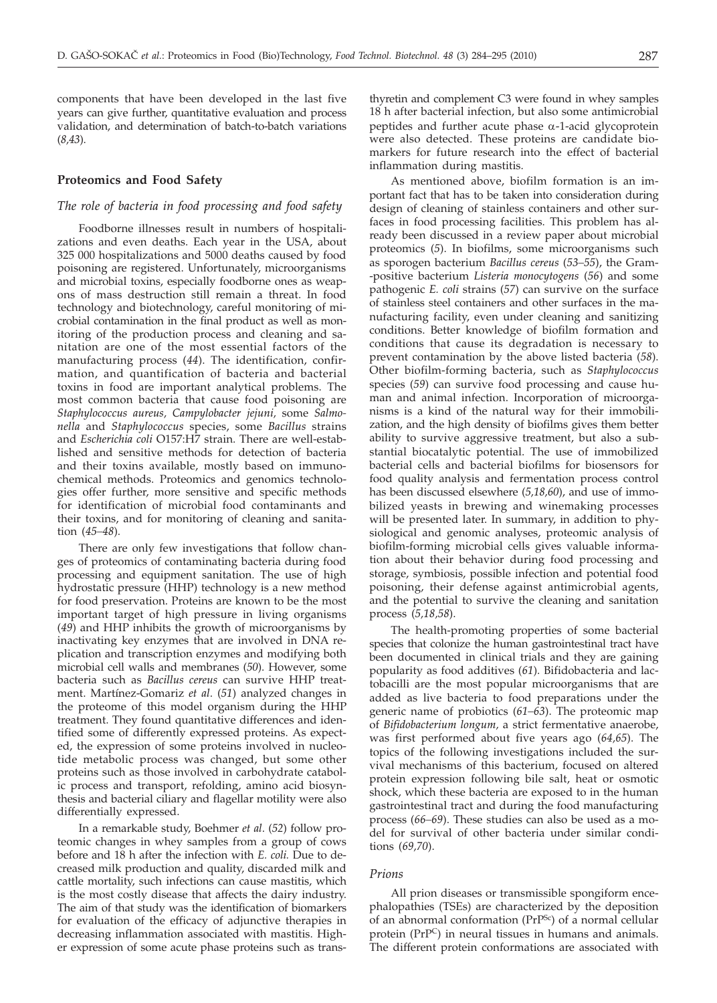components that have been developed in the last five years can give further, quantitative evaluation and process validation, and determination of batch-to-batch variations (*8,43*).

# **Proteomics and Food Safety**

# *The role of bacteria in food processing and food safety*

Foodborne illnesses result in numbers of hospitalizations and even deaths. Each year in the USA, about 325 000 hospitalizations and 5000 deaths caused by food poisoning are registered. Unfortunately, microorganisms and microbial toxins, especially foodborne ones as weapons of mass destruction still remain a threat. In food technology and biotechnology, careful monitoring of microbial contamination in the final product as well as monitoring of the production process and cleaning and sanitation are one of the most essential factors of the manufacturing process (*44*). The identification, confirmation, and quantification of bacteria and bacterial toxins in food are important analytical problems. The most common bacteria that cause food poisoning are *Staphylococcus aureus, Campylobacter jejuni,* some *Salmonella* and *Staphylococcus* species, some *Bacillus* strains and *Escherichia coli* O157:H7 strain. There are well-established and sensitive methods for detection of bacteria and their toxins available, mostly based on immunochemical methods. Proteomics and genomics technologies offer further, more sensitive and specific methods for identification of microbial food contaminants and their toxins, and for monitoring of cleaning and sanitation (*45–48*).

There are only few investigations that follow changes of proteomics of contaminating bacteria during food processing and equipment sanitation. The use of high hydrostatic pressure (HHP) technology is a new method for food preservation. Proteins are known to be the most important target of high pressure in living organisms (*49*) and HHP inhibits the growth of microorganisms by inactivating key enzymes that are involved in DNA replication and transcription enzymes and modifying both microbial cell walls and membranes (*50*). However, some bacteria such as *Bacillus cereus* can survive HHP treatment. Martínez-Gomariz *et al*. (*51*) analyzed changes in the proteome of this model organism during the HHP treatment. They found quantitative differences and identified some of differently expressed proteins. As expected, the expression of some proteins involved in nucleotide metabolic process was changed, but some other proteins such as those involved in carbohydrate catabolic process and transport, refolding, amino acid biosynthesis and bacterial ciliary and flagellar motility were also differentially expressed.

In a remarkable study, Boehmer *et al*. (*52*) follow proteomic changes in whey samples from a group of cows before and 18 h after the infection with *E. coli.* Due to decreased milk production and quality, discarded milk and cattle mortality, such infections can cause mastitis, which is the most costly disease that affects the dairy industry. The aim of that study was the identification of biomarkers for evaluation of the efficacy of adjunctive therapies in decreasing inflammation associated with mastitis. Higher expression of some acute phase proteins such as transthyretin and complement C3 were found in whey samples 18 h after bacterial infection, but also some antimicrobial peptides and further acute phase  $\alpha$ -1-acid glycoprotein were also detected. These proteins are candidate biomarkers for future research into the effect of bacterial inflammation during mastitis.

As mentioned above, biofilm formation is an important fact that has to be taken into consideration during design of cleaning of stainless containers and other surfaces in food processing facilities. This problem has already been discussed in a review paper about microbial proteomics (*5*). In biofilms, some microorganisms such as sporogen bacterium *Bacillus cereus* (*53–55*), the Gram- -positive bacterium *Listeria monocytogens* (*56*) and some pathogenic *E. coli* strains (*57*) can survive on the surface of stainless steel containers and other surfaces in the manufacturing facility, even under cleaning and sanitizing conditions. Better knowledge of biofilm formation and conditions that cause its degradation is necessary to prevent contamination by the above listed bacteria (*58*). Other biofilm-forming bacteria, such as *Staphylococcus* species (*59*) can survive food processing and cause human and animal infection. Incorporation of microorganisms is a kind of the natural way for their immobilization, and the high density of biofilms gives them better ability to survive aggressive treatment, but also a substantial biocatalytic potential. The use of immobilized bacterial cells and bacterial biofilms for biosensors for food quality analysis and fermentation process control has been discussed elsewhere (*5,18,60*), and use of immobilized yeasts in brewing and winemaking processes will be presented later. In summary, in addition to physiological and genomic analyses, proteomic analysis of biofilm-forming microbial cells gives valuable information about their behavior during food processing and storage, symbiosis, possible infection and potential food poisoning, their defense against antimicrobial agents, and the potential to survive the cleaning and sanitation process (*5,18,58*).

The health-promoting properties of some bacterial species that colonize the human gastrointestinal tract have been documented in clinical trials and they are gaining popularity as food additives (*61*). Bifidobacteria and lactobacilli are the most popular microorganisms that are added as live bacteria to food preparations under the generic name of probiotics (*61–63*). The proteomic map of *Bifidobacterium longum,* a strict fermentative anaerobe, was first performed about five years ago (*64,65*). The topics of the following investigations included the survival mechanisms of this bacterium, focused on altered protein expression following bile salt, heat or osmotic shock, which these bacteria are exposed to in the human gastrointestinal tract and during the food manufacturing process (*66–69*). These studies can also be used as a model for survival of other bacteria under similar conditions (*69,70*).

#### *Prions*

All prion diseases or transmissible spongiform encephalopathies (TSEs) are characterized by the deposition of an abnormal conformation (PrP<sup>Sc</sup>) of a normal cellular protein (PrPC) in neural tissues in humans and animals. The different protein conformations are associated with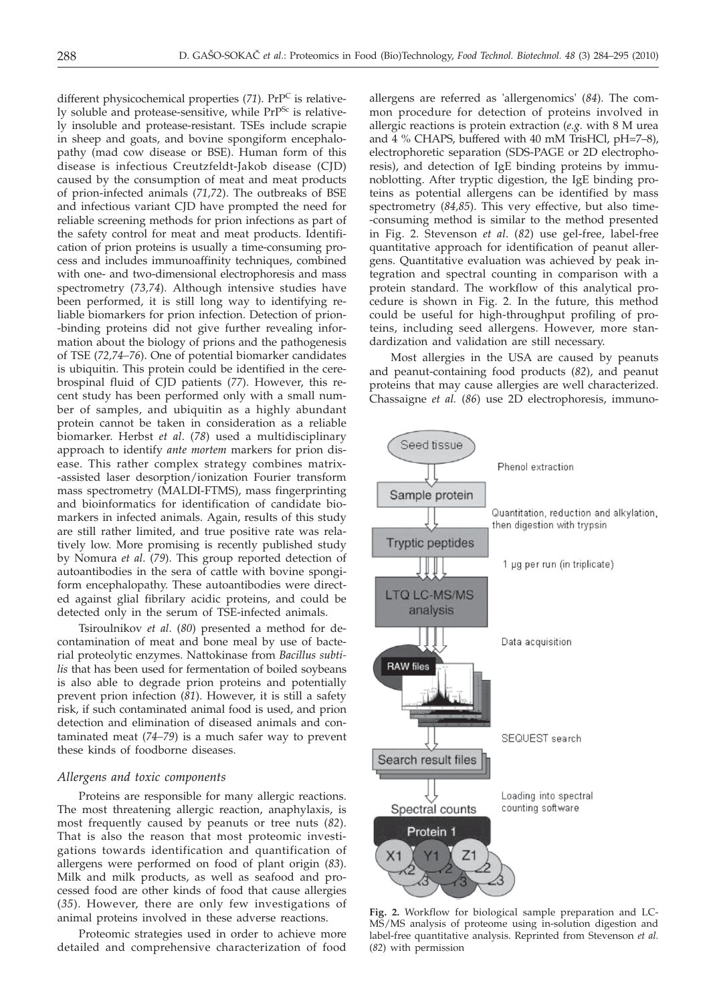different physicochemical properties (*71*). PrPC is relatively soluble and protease-sensitive, while PrP<sup>Sc</sup> is relatively insoluble and protease-resistant. TSEs include scrapie in sheep and goats, and bovine spongiform encephalopathy (mad cow disease or BSE). Human form of this disease is infectious Creutzfeldt-Jakob disease (CJD) caused by the consumption of meat and meat products of prion-infected animals (*71,72*). The outbreaks of BSE and infectious variant CJD have prompted the need for reliable screening methods for prion infections as part of the safety control for meat and meat products. Identification of prion proteins is usually a time-consuming process and includes immunoaffinity techniques, combined with one- and two-dimensional electrophoresis and mass spectrometry (*73,74*). Although intensive studies have been performed, it is still long way to identifying reliable biomarkers for prion infection. Detection of prion- -binding proteins did not give further revealing information about the biology of prions and the pathogenesis of TSE (*72,74–76*). One of potential biomarker candidates is ubiquitin. This protein could be identified in the cerebrospinal fluid of CJD patients (*77*). However, this recent study has been performed only with a small number of samples, and ubiquitin as a highly abundant protein cannot be taken in consideration as a reliable biomarker. Herbst *et al*. (*78*) used a multidisciplinary approach to identify *ante mortem* markers for prion disease. This rather complex strategy combines matrix- -assisted laser desorption/ionization Fourier transform mass spectrometry (MALDI-FTMS), mass fingerprinting and bioinformatics for identification of candidate biomarkers in infected animals. Again, results of this study are still rather limited, and true positive rate was relatively low. More promising is recently published study by Nomura *et al*. (*79*). This group reported detection of autoantibodies in the sera of cattle with bovine spongiform encephalopathy. These autoantibodies were directed against glial fibrilary acidic proteins, and could be detected only in the serum of TSE-infected animals.

Tsiroulnikov *et al*. (*80*) presented a method for decontamination of meat and bone meal by use of bacterial proteolytic enzymes. Nattokinase from *Bacillus subtilis* that has been used for fermentation of boiled soybeans is also able to degrade prion proteins and potentially prevent prion infection (*81*). However, it is still a safety risk, if such contaminated animal food is used, and prion detection and elimination of diseased animals and contaminated meat (*74–79*) is a much safer way to prevent these kinds of foodborne diseases.

#### *Allergens and toxic components*

Proteins are responsible for many allergic reactions. The most threatening allergic reaction, anaphylaxis, is most frequently caused by peanuts or tree nuts (*82*). That is also the reason that most proteomic investigations towards identification and quantification of allergens were performed on food of plant origin (*83*). Milk and milk products, as well as seafood and processed food are other kinds of food that cause allergies (*35*). However, there are only few investigations of animal proteins involved in these adverse reactions.

Proteomic strategies used in order to achieve more detailed and comprehensive characterization of food

allergens are referred as 'allergenomics' (*84*). The common procedure for detection of proteins involved in allergic reactions is protein extraction (*e.g.* with 8 M urea and 4 % CHAPS, buffered with 40 mM TrisHCl, pH=7–8), electrophoretic separation (SDS-PAGE or 2D electrophoresis), and detection of IgE binding proteins by immunoblotting. After tryptic digestion, the IgE binding proteins as potential allergens can be identified by mass spectrometry (*84,85*). This very effective, but also time- -consuming method is similar to the method presented in Fig. 2. Stevenson *et al*. (*82*) use gel-free, label-free quantitative approach for identification of peanut allergens. Quantitative evaluation was achieved by peak integration and spectral counting in comparison with a protein standard. The workflow of this analytical procedure is shown in Fig. 2. In the future, this method could be useful for high-throughput profiling of proteins, including seed allergens. However, more standardization and validation are still necessary.

Most allergies in the USA are caused by peanuts and peanut-containing food products (*82*), and peanut proteins that may cause allergies are well characterized. Chassaigne *et al.* (*86*) use 2D electrophoresis, immuno-



**Fig. 2.** Workflow for biological sample preparation and LC-MS/MS analysis of proteome using in-solution digestion and label-free quantitative analysis. Reprinted from Stevenson *et al.* (*82*) with permission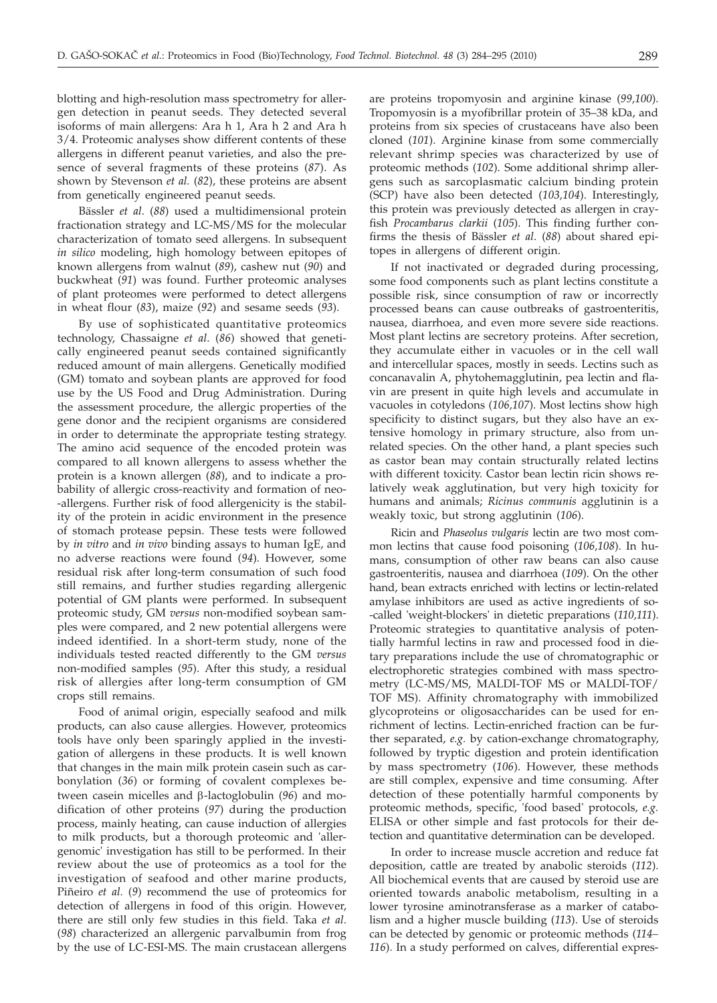blotting and high-resolution mass spectrometry for allergen detection in peanut seeds. They detected several isoforms of main allergens: Ara h 1, Ara h 2 and Ara h 3/4. Proteomic analyses show different contents of these allergens in different peanut varieties, and also the presence of several fragments of these proteins (*87*). As shown by Stevenson *et al.* (*82*), these proteins are absent from genetically engineered peanut seeds.

Bässler *et al*. (*88*) used a multidimensional protein fractionation strategy and LC-MS/MS for the molecular characterization of tomato seed allergens. In subsequent *in silico* modeling, high homology between epitopes of known allergens from walnut (*89*), cashew nut (*90*) and buckwheat (*91*) was found. Further proteomic analyses of plant proteomes were performed to detect allergens in wheat flour (*83*), maize (*92*) and sesame seeds (*93*).

By use of sophisticated quantitative proteomics technology, Chassaigne *et al*. (*86*) showed that genetically engineered peanut seeds contained significantly reduced amount of main allergens. Genetically modified (GM) tomato and soybean plants are approved for food use by the US Food and Drug Administration. During the assessment procedure, the allergic properties of the gene donor and the recipient organisms are considered in order to determinate the appropriate testing strategy. The amino acid sequence of the encoded protein was compared to all known allergens to assess whether the protein is a known allergen (*88*), and to indicate a probability of allergic cross-reactivity and formation of neo- -allergens. Further risk of food allergenicity is the stability of the protein in acidic environment in the presence of stomach protease pepsin. These tests were followed by *in vitro* and *in vivo* binding assays to human IgE, and no adverse reactions were found (*94*). However, some residual risk after long-term consumation of such food still remains, and further studies regarding allergenic potential of GM plants were performed. In subsequent proteomic study, GM *versus* non-modified soybean samples were compared, and 2 new potential allergens were indeed identified. In a short-term study, none of the individuals tested reacted differently to the GM *versus* non-modified samples (*95*). After this study, a residual risk of allergies after long-term consumption of GM crops still remains.

Food of animal origin, especially seafood and milk products, can also cause allergies. However, proteomics tools have only been sparingly applied in the investigation of allergens in these products. It is well known that changes in the main milk protein casein such as carbonylation (*36*) or forming of covalent complexes between casein micelles and b-lactoglobulin (*96*) and modification of other proteins (*97*) during the production process, mainly heating, can cause induction of allergies to milk products, but a thorough proteomic and 'allergenomic' investigation has still to be performed. In their review about the use of proteomics as a tool for the investigation of seafood and other marine products, Piñeiro *et al.* (*9*) recommend the use of proteomics for detection of allergens in food of this origin. However, there are still only few studies in this field. Taka *et al*. (*98*) characterized an allergenic parvalbumin from frog by the use of LC-ESI-MS. The main crustacean allergens are proteins tropomyosin and arginine kinase (*99,100*). Tropomyosin is a myofibrillar protein of 35–38 kDa, and proteins from six species of crustaceans have also been cloned (*101*). Arginine kinase from some commercially relevant shrimp species was characterized by use of proteomic methods (*102*). Some additional shrimp allergens such as sarcoplasmatic calcium binding protein (SCP) have also been detected (*103,104*). Interestingly, this protein was previously detected as allergen in crayfish *Procambarus clarkii* (*105*). This finding further confirms the thesis of Bässler *et al*. (*88*) about shared epitopes in allergens of different origin.

If not inactivated or degraded during processing, some food components such as plant lectins constitute a possible risk, since consumption of raw or incorrectly processed beans can cause outbreaks of gastroenteritis, nausea, diarrhoea, and even more severe side reactions. Most plant lectins are secretory proteins. After secretion, they accumulate either in vacuoles or in the cell wall and intercellular spaces, mostly in seeds. Lectins such as concanavalin A, phytohemagglutinin, pea lectin and flavin are present in quite high levels and accumulate in vacuoles in cotyledons (*106,107*). Most lectins show high specificity to distinct sugars, but they also have an extensive homology in primary structure, also from unrelated species. On the other hand, a plant species such as castor bean may contain structurally related lectins with different toxicity. Castor bean lectin ricin shows relatively weak agglutination, but very high toxicity for humans and animals; *Ricinus communis* agglutinin is a weakly toxic, but strong agglutinin (*106*).

Ricin and *Phaseolus vulgaris* lectin are two most common lectins that cause food poisoning (*106,108*). In humans, consumption of other raw beans can also cause gastroenteritis, nausea and diarrhoea (*109*). On the other hand, bean extracts enriched with lectins or lectin-related amylase inhibitors are used as active ingredients of so- -called 'weight-blockers' in dietetic preparations (*110,111*). Proteomic strategies to quantitative analysis of potentially harmful lectins in raw and processed food in dietary preparations include the use of chromatographic or electrophoretic strategies combined with mass spectrometry (LC-MS/MS, MALDI-TOF MS or MALDI-TOF/ TOF MS). Affinity chromatography with immobilized glycoproteins or oligosaccharides can be used for enrichment of lectins. Lectin-enriched fraction can be further separated, *e.g.* by cation-exchange chromatography, followed by tryptic digestion and protein identification by mass spectrometry (*106*). However, these methods are still complex, expensive and time consuming. After detection of these potentially harmful components by proteomic methods, specific, 'food based' protocols, *e.g.* ELISA or other simple and fast protocols for their detection and quantitative determination can be developed.

In order to increase muscle accretion and reduce fat deposition, cattle are treated by anabolic steroids (*112*). All biochemical events that are caused by steroid use are oriented towards anabolic metabolism, resulting in a lower tyrosine aminotransferase as a marker of catabolism and a higher muscle building (*113*). Use of steroids can be detected by genomic or proteomic methods (*114– 116*). In a study performed on calves, differential expres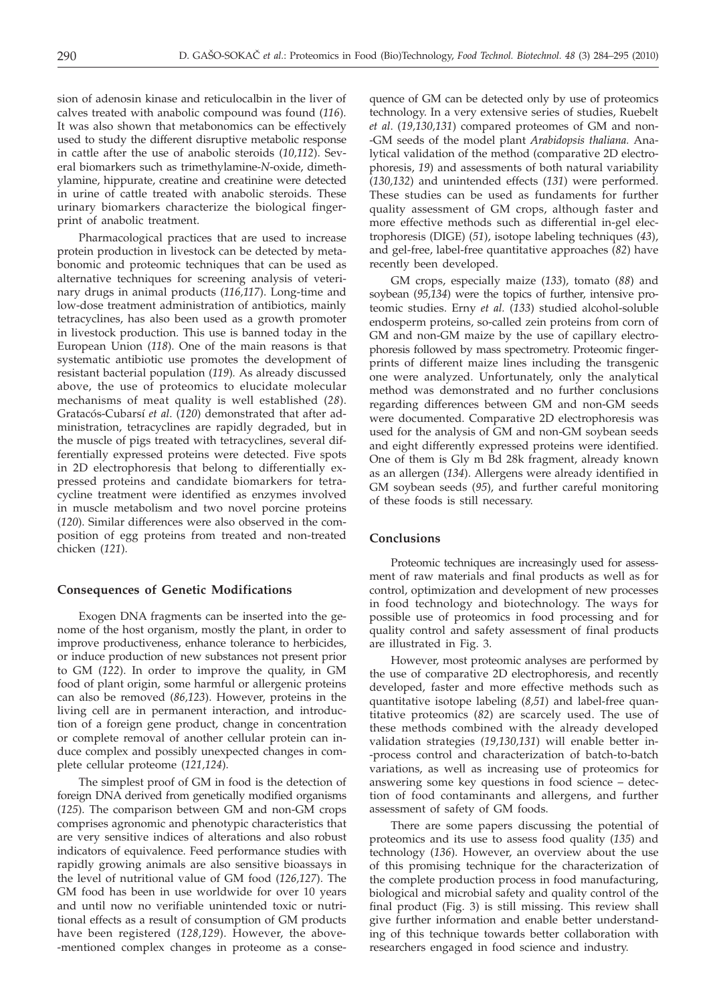sion of adenosin kinase and reticulocalbin in the liver of calves treated with anabolic compound was found (*116*). It was also shown that metabonomics can be effectively used to study the different disruptive metabolic response in cattle after the use of anabolic steroids (*10,112*). Several biomarkers such as trimethylamine-*N*-oxide, dimethylamine, hippurate, creatine and creatinine were detected in urine of cattle treated with anabolic steroids. These urinary biomarkers characterize the biological fingerprint of anabolic treatment.

Pharmacological practices that are used to increase protein production in livestock can be detected by metabonomic and proteomic techniques that can be used as alternative techniques for screening analysis of veterinary drugs in animal products (*116,117*). Long-time and low-dose treatment administration of antibiotics, mainly tetracyclines, has also been used as a growth promoter in livestock production. This use is banned today in the European Union (*118*). One of the main reasons is that systematic antibiotic use promotes the development of resistant bacterial population (*119*)*.* As already discussed above, the use of proteomics to elucidate molecular mechanisms of meat quality is well established (*28*). Gratacós-Cubarsí *et al*. (*120*) demonstrated that after administration, tetracyclines are rapidly degraded, but in the muscle of pigs treated with tetracyclines, several differentially expressed proteins were detected. Five spots in 2D electrophoresis that belong to differentially expressed proteins and candidate biomarkers for tetracycline treatment were identified as enzymes involved in muscle metabolism and two novel porcine proteins (*120*). Similar differences were also observed in the composition of egg proteins from treated and non-treated chicken (*121*).

# **Consequences of Genetic Modifications**

Exogen DNA fragments can be inserted into the genome of the host organism, mostly the plant, in order to improve productiveness, enhance tolerance to herbicides, or induce production of new substances not present prior to GM (*122*). In order to improve the quality, in GM food of plant origin, some harmful or allergenic proteins can also be removed (*86,123*). However, proteins in the living cell are in permanent interaction, and introduction of a foreign gene product, change in concentration or complete removal of another cellular protein can induce complex and possibly unexpected changes in complete cellular proteome (*121,124*).

The simplest proof of GM in food is the detection of foreign DNA derived from genetically modified organisms (*125*). The comparison between GM and non-GM crops comprises agronomic and phenotypic characteristics that are very sensitive indices of alterations and also robust indicators of equivalence. Feed performance studies with rapidly growing animals are also sensitive bioassays in the level of nutritional value of GM food (*126,127*). The GM food has been in use worldwide for over 10 years and until now no verifiable unintended toxic or nutritional effects as a result of consumption of GM products have been registered (*128,129*). However, the above- -mentioned complex changes in proteome as a consequence of GM can be detected only by use of proteomics technology. In a very extensive series of studies, Ruebelt *et al*. (*19,130,131*) compared proteomes of GM and non- -GM seeds of the model plant *Arabidopsis thaliana.* Analytical validation of the method (comparative 2D electrophoresis, *19*) and assessments of both natural variability (*130,132*) and unintended effects (*131*) were performed. These studies can be used as fundaments for further quality assessment of GM crops, although faster and more effective methods such as differential in-gel electrophoresis (DIGE) (*51*), isotope labeling techniques (*43*), and gel-free, label-free quantitative approaches (*82*) have recently been developed.

GM crops, especially maize (*133*), tomato (*88*) and soybean (*95,134*) were the topics of further, intensive proteomic studies. Erny *et al.* (*133*) studied alcohol-soluble endosperm proteins, so-called zein proteins from corn of GM and non-GM maize by the use of capillary electrophoresis followed by mass spectrometry. Proteomic fingerprints of different maize lines including the transgenic one were analyzed. Unfortunately, only the analytical method was demonstrated and no further conclusions regarding differences between GM and non-GM seeds were documented. Comparative 2D electrophoresis was used for the analysis of GM and non-GM soybean seeds and eight differently expressed proteins were identified. One of them is Gly m Bd 28k fragment, already known as an allergen (*134*). Allergens were already identified in GM soybean seeds (*95*), and further careful monitoring of these foods is still necessary.

# **Conclusions**

Proteomic techniques are increasingly used for assessment of raw materials and final products as well as for control, optimization and development of new processes in food technology and biotechnology. The ways for possible use of proteomics in food processing and for quality control and safety assessment of final products are illustrated in Fig. 3.

However, most proteomic analyses are performed by the use of comparative 2D electrophoresis, and recently developed, faster and more effective methods such as quantitative isotope labeling (*8,51*) and label-free quantitative proteomics (*82*) are scarcely used. The use of these methods combined with the already developed validation strategies (*19,130,131*) will enable better in- -process control and characterization of batch-to-batch variations, as well as increasing use of proteomics for answering some key questions in food science – detection of food contaminants and allergens, and further assessment of safety of GM foods.

There are some papers discussing the potential of proteomics and its use to assess food quality (*135*) and technology (*136*). However, an overview about the use of this promising technique for the characterization of the complete production process in food manufacturing, biological and microbial safety and quality control of the final product (Fig. 3) is still missing. This review shall give further information and enable better understanding of this technique towards better collaboration with researchers engaged in food science and industry.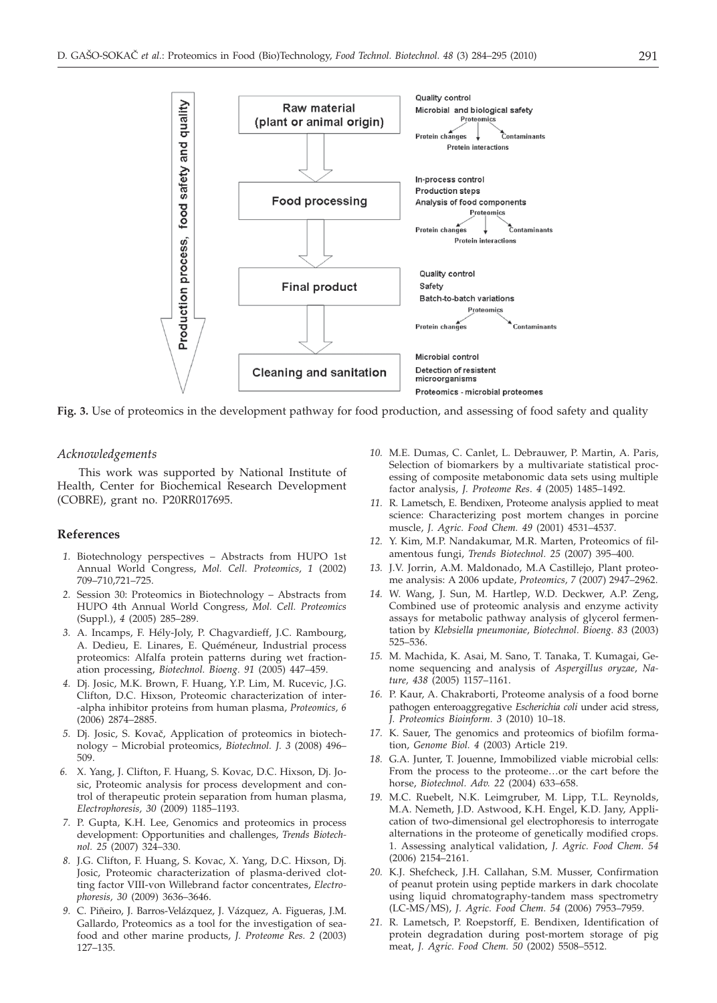

**Fig. 3.** Use of proteomics in the development pathway for food production, and assessing of food safety and quality

# *Acknowledgements*

This work was supported by National Institute of Health, Center for Biochemical Research Development (COBRE), grant no. P20RR017695.

# **References**

- *1.* Biotechnology perspectives Abstracts from HUPO 1st Annual World Congress, *Mol. Cell. Proteomics*, *1* (2002) 709–710,721–725.
- *2.* Session 30: Proteomics in Biotechnology Abstracts from HUPO 4th Annual World Congress, *Mol. Cell. Proteomics* (Suppl.), *4* (2005) 285–289.
- *3.* A. Incamps, F. Hély-Joly, P. Chagvardieff, J.C. Rambourg, A. Dedieu, E. Linares, E. Quéméneur, Industrial process proteomics: Alfalfa protein patterns during wet fractionation processing, *Biotechnol. Bioeng. 91* (2005) 447–459.
- *4.* Dj. Josic, M.K. Brown, F. Huang, Y.P. Lim, M. Rucevic, J.G. Clifton, D.C. Hixson, Proteomic characterization of inter- -alpha inhibitor proteins from human plasma, *Proteomics, 6* (2006) 2874–2885.
- 5. Dj. Josic, S. Kovač, Application of proteomics in biotechnology – Microbial proteomics, *Biotechnol. J. 3* (2008) 496– 509.
- *6.* X. Yang, J. Clifton, F. Huang, S. Kovac, D.C. Hixson, Dj. Josic, Proteomic analysis for process development and control of therapeutic protein separation from human plasma, *Electrophoresis, 30* (2009) 1185–1193.
- *7.* P. Gupta, K.H. Lee, Genomics and proteomics in process development: Opportunities and challenges, *Trends Biotechnol. 25* (2007) 324–330.
- *8.* J.G. Clifton, F. Huang, S. Kovac, X. Yang, D.C. Hixson, Dj. Josic, Proteomic characterization of plasma-derived clotting factor VIII-von Willebrand factor concentrates, *Electrophoresis, 30* (2009) 3636–3646.
- *9.* C. Piñeiro, J. Barros-Velázquez, J. Vázquez, A. Figueras, J.M. Gallardo, Proteomics as a tool for the investigation of seafood and other marine products, *J. Proteome Res. 2* (2003) 127–135.
- *10.* M.E. Dumas, C. Canlet, L. Debrauwer, P. Martin, A. Paris, Selection of biomarkers by a multivariate statistical processing of composite metabonomic data sets using multiple factor analysis, *J. Proteome Res*. *4* (2005) 1485–1492.
- *11.* R. Lametsch, E. Bendixen, Proteome analysis applied to meat science: Characterizing post mortem changes in porcine muscle, *J. Agric. Food Chem. 49* (2001) 4531–4537.
- *12.* Y. Kim, M.P. Nandakumar, M.R. Marten, Proteomics of filamentous fungi, *Trends Biotechnol. 25* (2007) 395–400.
- *13.* J.V. Jorrin, A.M. Maldonado, M.A Castillejo, Plant proteome analysis: A 2006 update, *Proteomics, 7* (2007) 2947–2962.
- *14.* W. Wang, J. Sun, M. Hartlep, W.D. Deckwer, A.P. Zeng, Combined use of proteomic analysis and enzyme activity assays for metabolic pathway analysis of glycerol fermentation by *Klebsiella pneumoniae*, *Biotechnol. Bioeng. 83* (2003) 525–536.
- *15.* M. Machida, K. Asai, M. Sano, T. Tanaka, T. Kumagai, Genome sequencing and analysis of *Aspergillus oryzae*, *Nature, 438* (2005) 1157–1161.
- *16.* P. Kaur, A. Chakraborti, Proteome analysis of a food borne pathogen enteroaggregative *Escherichia coli* under acid stress, *J. Proteomics Bioinform. 3* (2010) 10–18.
- *17.* K. Sauer, The genomics and proteomics of biofilm formation, *Genome Biol. 4* (2003) Article 219.
- *18.* G.A. Junter, T. Jouenne, Immobilized viable microbial cells: From the process to the proteome…or the cart before the horse, *Biotechnol. Adv. 22* (2004) 633–658.
- *19.* M.C. Ruebelt, N.K. Leimgruber, M. Lipp, T.L. Reynolds, M.A. Nemeth, J.D. Astwood, K.H. Engel, K.D. Jany, Application of two-dimensional gel electrophoresis to interrogate alternations in the proteome of genetically modified crops. 1. Assessing analytical validation, *J. Agric. Food Chem. 54* (2006) 2154–2161.
- *20.* K.J. Shefcheck, J.H. Callahan, S.M. Musser, Confirmation of peanut protein using peptide markers in dark chocolate using liquid chromatography-tandem mass spectrometry (LC-MS/MS), *J. Agric. Food Chem. 54* (2006) 7953–7959.
- *21.* R. Lametsch, P. Roepstorff, E. Bendixen, Identification of protein degradation during post-mortem storage of pig meat, *J. Agric. Food Chem. 50* (2002) 5508–5512.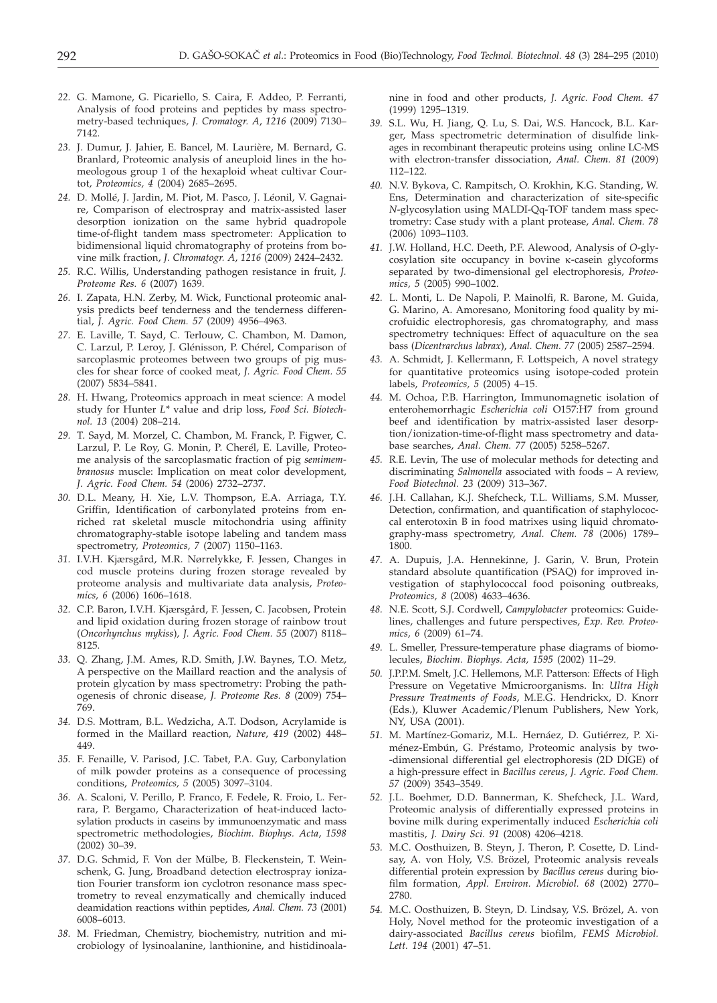- *22.* G. Mamone, G. Picariello, S. Caira, F. Addeo, P. Ferranti, Analysis of food proteins and peptides by mass spectrometry-based techniques, *J. Cromatogr. A*, *1216* (2009) 7130– 7142.
- *23.* J. Dumur, J. Jahier, E. Bancel, M. Laurière, M. Bernard, G. Branlard, Proteomic analysis of aneuploid lines in the homeologous group 1 of the hexaploid wheat cultivar Courtot, *Proteomics, 4* (2004) 2685–2695.
- *24.* D. Mollé, J. Jardin, M. Piot, M. Pasco, J. Léonil, V. Gagnaire, Comparison of electrospray and matrix-assisted laser desorption ionization on the same hybrid quadropole time-of-flight tandem mass spectrometer: Application to bidimensional liquid chromatography of proteins from bovine milk fraction, *J. Chromatogr. A*, *1216* (2009) 2424–2432.
- *25.* R.C. Willis, Understanding pathogen resistance in fruit, *J. Proteome Res. 6* (2007) 1639.
- *26.* I. Zapata, H.N. Zerby, M. Wick, Functional proteomic analysis predicts beef tenderness and the tenderness differential, *J. Agric. Food Chem. 57* (2009) 4956–4963.
- *27.* E. Laville, T. Sayd, C. Terlouw, C. Chambon, M. Damon, C. Larzul, P. Leroy, J. Glénisson, P. Chérel, Comparison of sarcoplasmic proteomes between two groups of pig muscles for shear force of cooked meat, *J. Agric. Food Chem. 55* (2007) 5834–5841.
- *28.* H. Hwang, Proteomics approach in meat science: A model study for Hunter *L\** value and drip loss, *Food Sci. Biotechnol. 13* (2004) 208–214.
- *29.* T. Sayd, M. Morzel, C. Chambon, M. Franck, P. Figwer, C. Larzul, P. Le Roy, G. Monin, P. Cherél, E. Laville, Proteome analysis of the sarcoplasmatic fraction of pig *semimembranosus* muscle: Implication on meat color development, *J. Agric. Food Chem. 54* (2006) 2732–2737.
- *30.* D.L. Meany, H. Xie, L.V. Thompson, E.A. Arriaga, T.Y. Griffin, Identification of carbonylated proteins from enriched rat skeletal muscle mitochondria using affinity chromatography-stable isotope labeling and tandem mass spectrometry, *Proteomics, 7* (2007) 1150–1163.
- *31.* I.V.H. Kjærsgård, M.R. Nørrelykke, F. Jessen, Changes in cod muscle proteins during frozen storage revealed by proteome analysis and multivariate data analysis, *Proteomics, 6* (2006) 1606–1618.
- *32.* C.P. Baron, I.V.H. Kjærsgård, F. Jessen, C. Jacobsen, Protein and lipid oxidation during frozen storage of rainbow trout (*Oncorhynchus mykiss*)*, J. Agric. Food Chem. 55* (2007) 8118– 8125.
- *33.* Q. Zhang, J.M. Ames, R.D. Smith, J.W. Baynes, T.O. Metz, A perspective on the Maillard reaction and the analysis of protein glycation by mass spectrometry: Probing the pathogenesis of chronic disease, *J. Proteome Res. 8* (2009) 754– 769.
- *34.* D.S. Mottram, B.L. Wedzicha, A.T. Dodson, Acrylamide is formed in the Maillard reaction, *Nature*, *419* (2002) 448– 449.
- *35.* F. Fenaille, V. Parisod, J.C. Tabet, P.A. Guy, Carbonylation of milk powder proteins as a consequence of processing conditions, *Proteomics, 5* (2005) 3097–3104.
- *36.* A. Scaloni, V. Perillo, P. Franco, F. Fedele, R. Froio, L. Ferrara, P. Bergamo, Characterization of heat-induced lactosylation products in caseins by immunoenzymatic and mass spectrometric methodologies, *Biochim. Biophys. Acta*, *1598* (2002) 30–39.
- *37.* D.G. Schmid, F. Von der Mülbe, B. Fleckenstein, T. Weinschenk, G. Jung, Broadband detection electrospray ionization Fourier transform ion cyclotron resonance mass spectrometry to reveal enzymatically and chemically induced deamidation reactions within peptides, *Anal. Chem. 73* (2001) 6008–6013.
- *38.* M. Friedman, Chemistry, biochemistry, nutrition and microbiology of lysinoalanine, lanthionine, and histidinoala-

nine in food and other products, *J. Agric. Food Chem. 47* (1999) 1295–1319.

- *39.* S.L. Wu, H. Jiang, Q. Lu, S. Dai, W.S. Hancock, B.L. Karger, Mass spectrometric determination of disulfide linkages in recombinant therapeutic proteins using online LC-MS with electron-transfer dissociation, *Anal. Chem. 81* (2009) 112–122.
- *40.* N.V. Bykova, C. Rampitsch, O. Krokhin, K.G. Standing, W. Ens, Determination and characterization of site-specific *N*-glycosylation using MALDI-Qq-TOF tandem mass spectrometry: Case study with a plant protease, *Anal. Chem. 78* (2006) 1093–1103.
- *41.* J.W. Holland, H.C. Deeth, P.F. Alewood, Analysis of *O*-glycosylation site occupancy in bovine k-casein glycoforms separated by two-dimensional gel electrophoresis, *Proteomics, 5* (2005) 990–1002.
- *42.* L. Monti, L. De Napoli, P. Mainolfi, R. Barone, M. Guida, G. Marino, A. Amoresano, Monitoring food quality by microfuidic electrophoresis, gas chromatography, and mass spectrometry techniques: Effect of aquaculture on the sea bass (*Dicentrarchus labrax*), *Anal. Chem. 77* (2005) 2587–2594.
- *43.* A. Schmidt, J. Kellermann, F. Lottspeich, A novel strategy for quantitative proteomics using isotope-coded protein labels, *Proteomics, 5* (2005) 4–15.
- *44.* M. Ochoa, P.B. Harrington, Immunomagnetic isolation of enterohemorrhagic *Escherichia coli* O157:H7 from ground beef and identification by matrix-assisted laser desorption/ionization-time-of-flight mass spectrometry and database searches, *Anal. Chem. 77* (2005) 5258–5267.
- *45.* R.E. Levin, The use of molecular methods for detecting and discriminating *Salmonella* associated with foods – A review, *Food Biotechnol. 23* (2009) 313–367.
- *46.* J.H. Callahan, K.J. Shefcheck, T.L. Williams, S.M. Musser, Detection, confirmation, and quantification of staphylococcal enterotoxin B in food matrixes using liquid chromatography-mass spectrometry, *Anal. Chem. 78* (2006) 1789– 1800.
- *47.* A. Dupuis, J.A. Hennekinne, J. Garin, V. Brun, Protein standard absolute quantification (PSAQ) for improved investigation of staphylococcal food poisoning outbreaks, *Proteomics, 8* (2008) 4633–4636.
- *48.* N.E. Scott, S.J. Cordwell, *Campylobacter* proteomics: Guidelines, challenges and future perspectives, *Exp. Rev. Proteomics, 6* (2009) 61–74.
- *49.* L. Smeller, Pressure-temperature phase diagrams of biomolecules, *Biochim. Biophys. Acta, 1595* (2002) 11–29.
- *50.* J.P.P.M. Smelt, J.C. Hellemons, M.F. Patterson: Effects of High Pressure on Vegetative Mmicroorganisms. In: *Ultra High Pressure Treatments of Foods*, M.E.G. Hendrickx, D. Knorr (Eds.), Kluwer Academic/Plenum Publishers, New York, NY, USA (2001).
- *51.* M. Martínez-Gomariz, M.L. Hernáez, D. Gutiérrez, P. Ximénez-Embún, G. Préstamo, Proteomic analysis by two- -dimensional differential gel electrophoresis (2D DIGE) of a high-pressure effect in *Bacillus cereus*, *J. Agric. Food Chem. 57* (2009) 3543–3549.
- *52.* J.L. Boehmer, D.D. Bannerman, K. Shefcheck, J.L. Ward, Proteomic analysis of differentially expressed proteins in bovine milk during experimentally induced *Escherichia coli* mastitis, *J. Dairy Sci. 91* (2008) 4206–4218.
- *53.* M.C. Oosthuizen, B. Steyn, J. Theron, P. Cosette, D. Lindsay, A. von Holy, V.S. Brözel, Proteomic analysis reveals differential protein expression by *Bacillus cereus* during biofilm formation, *Appl. Environ. Microbiol. 68* (2002) 2770– 2780.
- *54.* M.C. Oosthuizen, B. Steyn, D. Lindsay, V.S. Brözel, A. von Holy, Novel method for the proteomic investigation of a dairy-associated *Bacillus cereus* biofilm, *FEMS Microbiol. Lett. 194* (2001) 47–51.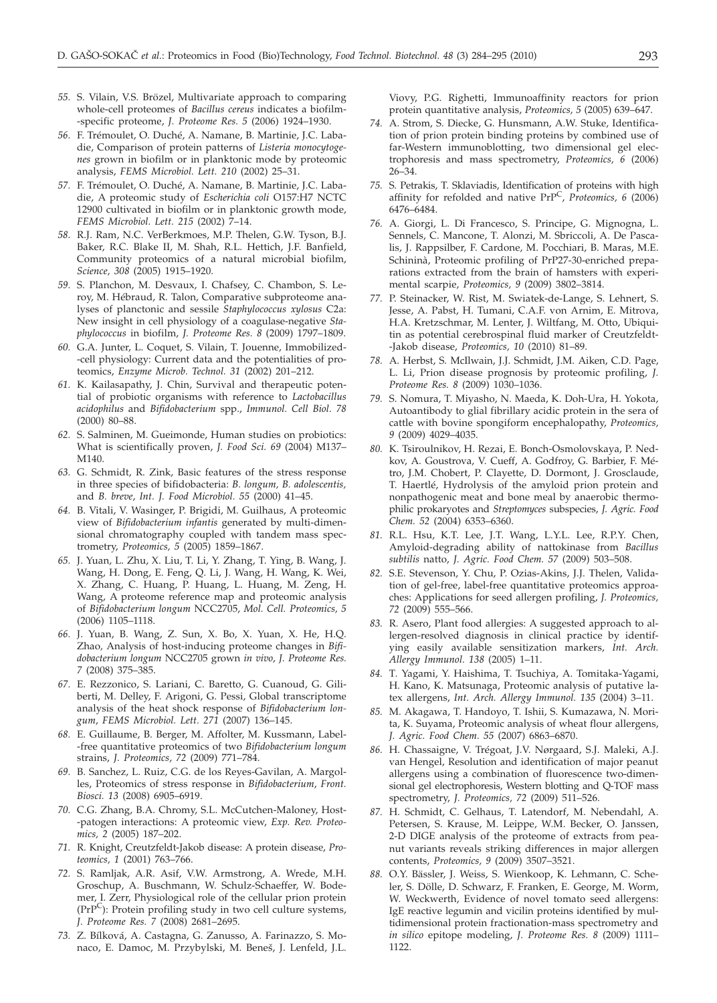- *55.* S. Vilain, V.S. Brözel, Multivariate approach to comparing whole-cell proteomes of *Bacillus cereus* indicates a biofilm- -specific proteome, *J. Proteome Res. 5* (2006) 1924–1930.
- *56.* F. Trémoulet, O. Duché, A. Namane, B. Martinie, J.C. Labadie, Comparison of protein patterns of *Listeria monocytogenes* grown in biofilm or in planktonic mode by proteomic analysis, *FEMS Microbiol. Lett. 210* (2002) 25–31.
- *57.* F. Trémoulet, O. Duché, A. Namane, B. Martinie, J.C. Labadie, A proteomic study of *Escherichia coli* O157:H7 NCTC 12900 cultivated in biofilm or in planktonic growth mode, *FEMS Microbiol. Lett. 215* (2002) 7–14.
- *58.* R.J. Ram, N.C. VerBerkmoes, M.P. Thelen, G.W. Tyson, B.J. Baker, R.C. Blake II, M. Shah, R.L. Hettich, J.F. Banfield, Community proteomics of a natural microbial biofilm, *Science, 308* (2005) 1915–1920.
- *59.* S. Planchon, M. Desvaux, I. Chafsey, C. Chambon, S. Leroy, M. Hébraud, R. Talon, Comparative subproteome analyses of planctonic and sessile *Staphylococcus xylosus* C2a: New insight in cell physiology of a coagulase-negative *Staphylococcus* in biofilm, *J. Proteome Res. 8* (2009) 1797–1809.
- *60.* G.A. Junter, L. Coquet, S. Vilain, T. Jouenne, Immobilized- -cell physiology: Current data and the potentialities of proteomics, *Enzyme Microb. Technol. 31* (2002) 201–212.
- *61.* K. Kailasapathy, J. Chin, Survival and therapeutic potential of probiotic organisms with reference to *Lactobacillus acidophilus* and *Bifidobacterium* spp., *Immunol. Cell Biol. 78* (2000) 80–88.
- *62.* S. Salminen, M. Gueimonde, Human studies on probiotics: What is scientifically proven, *J. Food Sci. 69* (2004) M137– M140.
- *63.* G. Schmidt, R. Zink, Basic features of the stress response in three species of bifidobacteria: *B. longum, B. adolescentis,* and *B. breve*, *Int. J. Food Microbiol. 55* (2000) 41–45.
- *64.* B. Vitali, V. Wasinger, P. Brigidi, M. Guilhaus, A proteomic view of *Bifidobacterium infantis* generated by multi-dimensional chromatography coupled with tandem mass spectrometry, *Proteomics, 5* (2005) 1859–1867.
- *65.* J. Yuan, L. Zhu, X. Liu, T. Li, Y. Zhang, T. Ying, B. Wang, J. Wang, H. Dong, E. Feng, Q. Li, J. Wang, H. Wang, K. Wei, X. Zhang, C. Huang, P. Huang, L. Huang, M. Zeng, H. Wang, A proteome reference map and proteomic analysis of *Bifidobacterium longum* NCC2705, *Mol. Cell. Proteomics, 5* (2006) 1105–1118.
- *66.* J. Yuan, B. Wang, Z. Sun, X. Bo, X. Yuan, X. He, H.Q. Zhao*,* Analysis of host-inducing proteome changes in *Bifidobacterium longum* NCC2705 grown *in vivo*, *J. Proteome Res. 7* (2008) 375–385.
- *67.* E. Rezzonico, S. Lariani, C. Baretto, G. Cuanoud, G. Giliberti, M. Delley, F. Arigoni, G. Pessi, Global transcriptome analysis of the heat shock response of *Bifidobacterium longum*, *FEMS Microbiol. Lett. 271* (2007) 136–145.
- *68.* E. Guillaume, B. Berger, M. Affolter, M. Kussmann, Label- -free quantitative proteomics of two *Bifidobacterium longum* strains, *J. Proteomics*, *72* (2009) 771–784.
- *69.* B. Sanchez, L. Ruiz, C.G. de los Reyes-Gavilan, A. Margolles, Proteomics of stress response in *Bifidobacterium*, *Front. Biosci. 13* (2008) 6905–6919.
- *70.* C.G. Zhang, B.A. Chromy, S.L. McCutchen-Maloney, Host- -patogen interactions: A proteomic view, *Exp. Rev. Proteomics, 2* (2005) 187–202.
- *71.* R. Knight, Creutzfeldt-Jakob disease: A protein disease, *Proteomics, 1* (2001) 763–766.
- *72.* S. Ramljak, A.R. Asif, V.W. Armstrong, A. Wrede, M.H. Groschup, A. Buschmann, W. Schulz-Schaeffer, W. Bodemer, I. Zerr, Physiological role of the cellular prion protein (PrPC): Protein profiling study in two cell culture systems, *J. Proteome Res. 7* (2008) 2681–2695.
- *73.* Z. Bílková, A. Castagna, G. Zanusso, A. Farinazzo, S. Monaco, E. Damoc, M. Przybylski, M. Beneš, J. Lenfeld, J.L.

Viovy, P.G. Righetti, Immunoaffinity reactors for prion protein quantitative analysis, *Proteomics, 5* (2005) 639–647.

- *74.* A. Strom, S. Diecke, G. Hunsmann, A.W. Stuke, Identification of prion protein binding proteins by combined use of far-Western immunoblotting, two dimensional gel electrophoresis and mass spectrometry, *Proteomics, 6* (2006) 26–34.
- *75.* S. Petrakis, T. Sklaviadis, Identification of proteins with high affinity for refolded and native PrPC, *Proteomics, 6* (2006) 6476–6484.
- *76.* A. Giorgi, L. Di Francesco, S. Principe, G. Mignogna, L. Sennels, C. Mancone, T. Alonzi, M. Sbriccoli, A. De Pascalis, J. Rappsilber, F. Cardone, M. Pocchiari, B. Maras, M.E. Schininà, Proteomic profiling of PrP27-30-enriched preparations extracted from the brain of hamsters with experimental scarpie, *Proteomics, 9* (2009) 3802–3814.
- *77.* P. Steinacker, W. Rist, M. Swiatek-de-Lange, S. Lehnert, S. Jesse, A. Pabst, H. Tumani, C.A.F. von Arnim, E. Mitrova, H.A. Kretzschmar, M. Lenter, J. Wiltfang, M. Otto, Ubiquitin as potential cerebrospinal fluid marker of Creutzfeldt- -Jakob disease, *Proteomics, 10* (2010) 81–89.
- *78.* A. Herbst, S. McIlwain, J.J. Schmidt, J.M. Aiken, C.D. Page, L. Li, Prion disease prognosis by proteomic profiling, *J. Proteome Res. 8* (2009) 1030–1036.
- *79.* S. Nomura, T. Miyasho, N. Maeda, K. Doh-Ura, H. Yokota, Autoantibody to glial fibrillary acidic protein in the sera of cattle with bovine spongiform encephalopathy, *Proteomics, 9* (2009) 4029–4035.
- *80.* K. Tsiroulnikov, H. Rezai, E. Bonch-Osmolovskaya, P. Nedkov, A. Goustrova, V. Cueff, A. Godfroy, G. Barbier, F. Métro, J.M. Chobert, P. Clayette, D. Dormont, J. Grosclaude, T. Haertlé, Hydrolysis of the amyloid prion protein and nonpathogenic meat and bone meal by anaerobic thermophilic prokaryotes and *Streptomyces* subspecies, *J. Agric. Food Chem. 52* (2004) 6353–6360.
- *81.* R.L. Hsu, K.T. Lee, J.T. Wang, L.Y.L. Lee, R.P.Y. Chen, Amyloid-degrading ability of nattokinase from *Bacillus subtilis* natto, *J. Agric. Food Chem. 57* (2009) 503–508.
- *82.* S.E. Stevenson, Y. Chu, P. Ozias-Akins, J.J. Thelen, Validation of gel-free, label-free quantitative proteomics approaches: Applications for seed allergen profiling, *J. Proteomics, 72* (2009) 555–566.
- *83.* R. Asero, Plant food allergies: A suggested approach to allergen-resolved diagnosis in clinical practice by identifying easily available sensitization markers, *Int. Arch. Allergy Immunol. 138* (2005) 1–11.
- *84.* T*.* Yagami, Y. Haishima, T. Tsuchiya, A. Tomitaka-Yagami, H. Kano, K. Matsunaga, Proteomic analysis of putative latex allergens, *Int. Arch. Allergy Immunol. 135* (2004) 3–11.
- *85.* M. Akagawa, T. Handoyo, T. Ishii, S. Kumazawa, N. Morita, K. Suyama, Proteomic analysis of wheat flour allergens, *J. Agric. Food Chem. 55* (2007) 6863–6870.
- *86.* H. Chassaigne, V. Trégoat, J.V. Nørgaard, S.J. Maleki, A.J. van Hengel, Resolution and identification of major peanut allergens using a combination of fluorescence two-dimensional gel electrophoresis, Western blotting and Q-TOF mass spectrometry, *J. Proteomics, 72* (2009) 511–526.
- *87.* H. Schmidt, C. Gelhaus, T. Latendorf, M. Nebendahl, A. Petersen, S. Krause, M. Leippe, W.M. Becker, O. Janssen, 2-D DIGE analysis of the proteome of extracts from peanut variants reveals striking differences in major allergen contents, *Proteomics, 9* (2009) 3507–3521.
- *88.* O.Y. Bässler, J. Weiss, S. Wienkoop, K. Lehmann, C. Scheler, S. Dölle, D. Schwarz, F. Franken, E. George, M. Worm, W. Weckwerth, Evidence of novel tomato seed allergens: IgE reactive legumin and vicilin proteins identified by multidimensional protein fractionation-mass spectrometry and *in silico* epitope modeling, *J. Proteome Res. 8* (2009) 1111– 1122.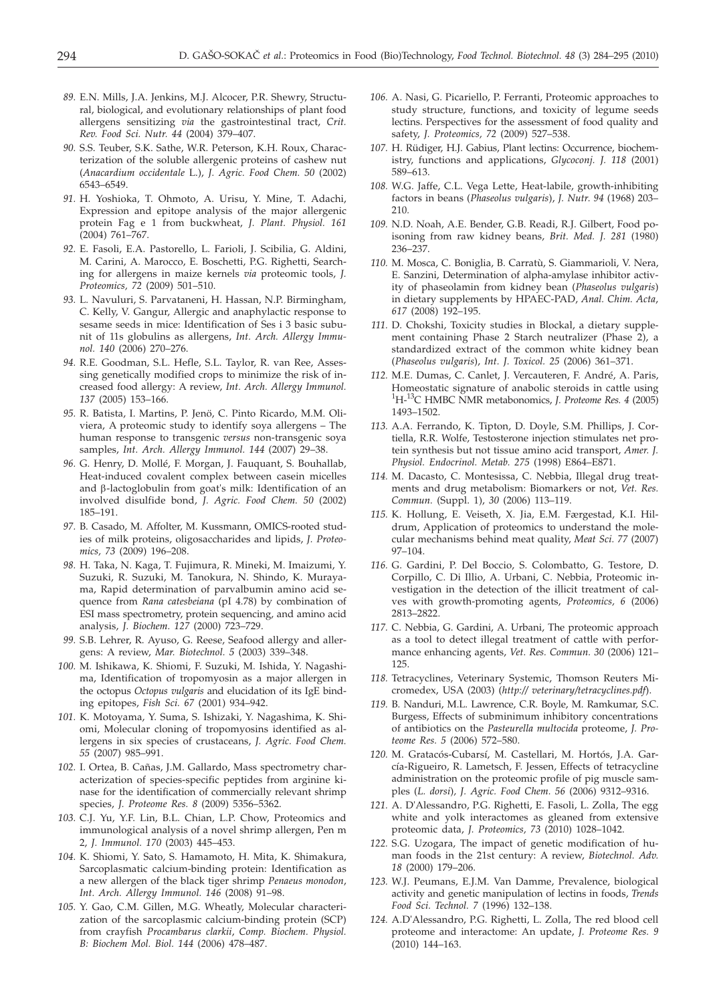- *89.* E.N. Mills, J.A. Jenkins, M.J. Alcocer, P.R. Shewry, Structural, biological, and evolutionary relationships of plant food allergens sensitizing *via* the gastrointestinal tract, *Crit. Rev. Food Sci. Nutr. 44* (2004) 379–407.
- *90.* S.S. Teuber, S.K. Sathe, W.R. Peterson, K.H. Roux, Characterization of the soluble allergenic proteins of cashew nut (*Anacardium occidentale* L.), *J. Agric. Food Chem. 50* (2002) 6543–6549.
- *91.* H. Yoshioka, T. Ohmoto, A. Urisu, Y. Mine, T. Adachi, Expression and epitope analysis of the major allergenic protein Fag e 1 from buckwheat, *J. Plant. Physiol. 161* (2004) 761–767.
- *92.* E. Fasoli, E.A. Pastorello, L. Farioli, J. Scibilia, G. Aldini, M. Carini, A. Marocco, E. Boschetti, P.G. Righetti, Searching for allergens in maize kernels *via* proteomic tools, *J. Proteomics, 72* (2009) 501–510.
- *93.* L. Navuluri, S. Parvataneni, H. Hassan, N.P. Birmingham, C. Kelly, V. Gangur, Allergic and anaphylactic response to sesame seeds in mice: Identification of Ses i 3 basic subunit of 11s globulins as allergens, *Int. Arch. Allergy Immunol. 140* (2006) 270–276.
- *94.* R.E. Goodman, S.L. Hefle, S.L. Taylor, R. van Ree, Assessing genetically modified crops to minimize the risk of increased food allergy: A review, *Int. Arch. Allergy Immunol. 137* (2005) 153–166.
- *95.* R. Batista, I. Martins, P. Jenö, C. Pinto Ricardo, M.M. Oliviera, A proteomic study to identify soya allergens – The human response to transgenic *versus* non-transgenic soya samples, *Int. Arch. Allergy Immunol. 144* (2007) 29–38.
- *96.* G. Henry, D. Mollé, F. Morgan, J. Fauquant, S. Bouhallab, Heat-induced covalent complex between casein micelles and  $\beta$ -lactoglobulin from goat's milk: Identification of an involved disulfide bond, *J. Agric. Food Chem. 50* (2002) 185–191.
- *97.* B. Casado, M. Affolter, M. Kussmann, OMICS-rooted studies of milk proteins, oligosaccharides and lipids, *J. Proteomics, 73* (2009) 196–208.
- *98.* H. Taka, N. Kaga, T. Fujimura, R. Mineki, M. Imaizumi, Y. Suzuki, R. Suzuki, M. Tanokura, N. Shindo, K. Murayama, Rapid determination of parvalbumin amino acid sequence from *Rana catesbeiana* (pI 4.78) by combination of ESI mass spectrometry, protein sequencing, and amino acid analysis, *J. Biochem. 127* (2000) 723–729.
- 99. S.B. Lehrer, R. Ayuso, G. Reese, Seafood allergy and allergens: A review, *Mar. Biotechnol. 5* (2003) 339–348.
- *100.* M. Ishikawa, K. Shiomi, F. Suzuki, M. Ishida, Y. Nagashima, Identification of tropomyosin as a major allergen in the octopus *Octopus vulgaris* and elucidation of its IgE binding epitopes, *Fish Sci. 67* (2001) 934–942.
- *101.* K. Motoyama, Y. Suma, S. Ishizaki, Y. Nagashima, K. Shiomi, Molecular cloning of tropomyosins identified as allergens in six species of crustaceans, *J. Agric. Food Chem. 55* (2007) 985–991.
- *102.* I. Ortea, B. Cañas, J.M. Gallardo, Mass spectrometry characterization of species-specific peptides from arginine kinase for the identification of commercially relevant shrimp species, *J. Proteome Res. 8* (2009) 5356–5362.
- *103.* C.J. Yu, Y.F. Lin, B.L. Chian, L.P. Chow, Proteomics and immunological analysis of a novel shrimp allergen, Pen m 2, *J. Immunol. 170* (2003) 445–453.
- *104.* K. Shiomi, Y. Sato, S. Hamamoto, H. Mita, K. Shimakura, Sarcoplasmatic calcium-binding protein: Identification as a new allergen of the black tiger shrimp *Penaeus monodon*, *Int. Arch. Allergy Immunol. 146* (2008) 91–98.
- *105.* Y. Gao, C.M. Gillen, M.G. Wheatly, Molecular characterization of the sarcoplasmic calcium-binding protein (SCP) from crayfish *Procambarus clarkii*, *Comp. Biochem. Physiol. B: Biochem Mol. Biol. 144* (*2*006) 478–487.
- *106.* A. Nasi, G. Picariello, P. Ferranti, Proteomic approaches to study structure, functions, and toxicity of legume seeds lectins. Perspectives for the assessment of food quality and safety, *J. Proteomics, 72* (2009) 527–538.
- *107.* H. Rüdiger, H.J. Gabius, Plant lectins: Occurrence, biochemistry, functions and applications, *Glycoconj. J. 118* (2001) 589–613.
- *108.* W.G. Jaffe, C.L. Vega Lette, Heat-labile, growth-inhibiting factors in beans (*Phaseolus vulgaris*), *J. Nutr*. *94* (1968) 203– 210*.*
- *109.* N.D. Noah, A.E. Bender, G.B. Readi, R.J. Gilbert, Food poisoning from raw kidney beans, *Brit. Med. J. 281* (1980) 236–237.
- *110.* M. Mosca, C. Boniglia, B. Carratù, S. Giammarioli, V. Nera, E. Sanzini, Determination of alpha-amylase inhibitor activity of phaseolamin from kidney bean (*Phaseolus vulgaris*) in dietary supplements by HPAEC-PAD, *Anal. Chim. Acta*, *617* (2008) 192–195.
- *111.* D. Chokshi, Toxicity studies in Blockal, a dietary supplement containing Phase 2 Starch neutralizer (Phase 2), a standardized extract of the common white kidney bean (*Phaseolus vulgaris*), *Int. J. Toxicol. 25* (2006) 361–371.
- *112.* M.E. Dumas, C. Canlet, J. Vercauteren, F. André, A. Paris, Homeostatic signature of anabolic steroids in cattle using <sup>1</sup> <sup>1</sup>H-<sup>13</sup>C HMBC NMR metabonomics, *J. Proteome Res.* 4 (2005) 1493–1502.
- *113.* A.A. Ferrando, K. Tipton, D. Doyle, S.M. Phillips, J. Cortiella, R.R. Wolfe, Testosterone injection stimulates net protein synthesis but not tissue amino acid transport, *Amer. J. Physiol. Endocrinol. Metab. 275* (1998) E864–E871.
- *114.* M. Dacasto, C. Montesissa, C. Nebbia, Illegal drug treatments and drug metabolism: Biomarkers or not, *Vet. Res. Commun.* (Suppl. 1), *30* (2006) 113–119.
- *115.* K. Hollung, E. Veiseth, X. Jia, E.M. Færgestad, K.I. Hildrum, Application of proteomics to understand the molecular mechanisms behind meat quality, *Meat Sci. 77* (2007) 97–104.
- *116.* G. Gardini, P. Del Boccio, S. Colombatto, G. Testore, D. Corpillo, C. Di Illio, A. Urbani, C. Nebbia, Proteomic investigation in the detection of the illicit treatment of calves with growth-promoting agents, *Proteomics, 6* (2006) 2813–2822.
- *117.* C. Nebbia, G. Gardini, A. Urbani, The proteomic approach as a tool to detect illegal treatment of cattle with performance enhancing agents, *Vet. Res. Commun. 30* (2006) 121– 125.
- *118.* Tetracyclines, Veterinary Systemic, Thomson Reuters Micromedex, USA (2003) (*http:// veterinary/tetracyclines.pdf*).
- *119.* B. Nanduri, M.L. Lawrence, C.R. Boyle, M. Ramkumar, S.C. Burgess, Effects of subminimum inhibitory concentrations of antibiotics on the *Pasteurella multocida* proteome, *J. Proteome Res. 5* (2006) 572–580.
- *120.* M. Gratacós-Cubarsí, M. Castellari, M. Hortós, J.A. García-Rigueiro, R. Lametsch, F. Jessen, Effects of tetracycline administration on the proteomic profile of pig muscle samples (*L. dorsi*)*, J. Agric. Food Chem. 56* (2006) 9312–9316.
- *121.* A. D'Alessandro, P.G. Righetti, E. Fasoli, L. Zolla, The egg white and yolk interactomes as gleaned from extensive proteomic data, *J. Proteomics, 73* (2010) 1028–1042.
- *122.* S.G. Uzogara, The impact of genetic modification of human foods in the 21st century: A review, *Biotechnol. Adv. 18* (2000) 179–206.
- *123.* W.J. Peumans, E.J.M. Van Damme, Prevalence, biological activity and genetic manipulation of lectins in foods, *Trends Food Sci. Technol. 7* (1996) 132–138.
- *124.* A.D'Alessandro, P.G. Righetti, L. Zolla, The red blood cell proteome and interactome: An update, *J. Proteome Res. 9* (2010) 144–163.